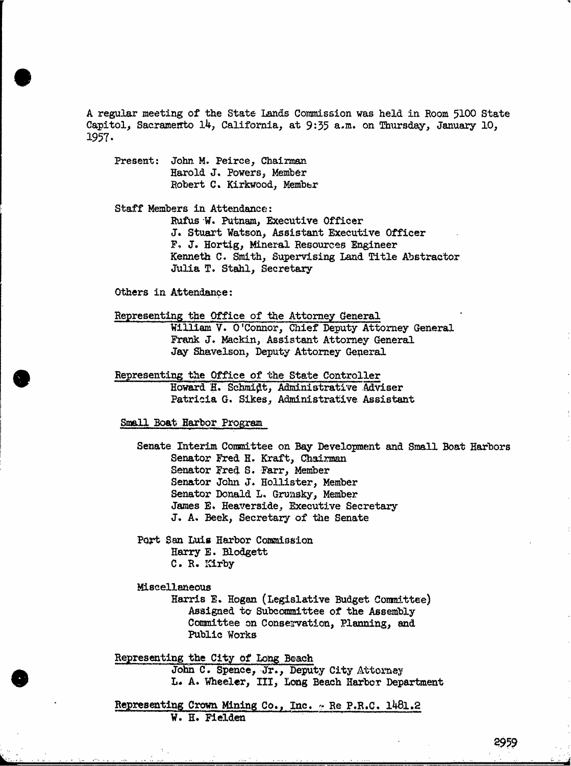A regular meeting of the State Lands Commission was held in Room 5100 State Capitol, Sacramento 14, California, at 9:35 a.m. on Thursday, January 10, 1957 .

Present: John M. Peirce, Chairman Harold J. Powers, Member Robert C. Kirkwood, Member

Staff Members in Attendance:

Rufus W. Putnam, Executive Officer J. Stuart Watson, Assistant Executive Officer F. J. Hortig, Mineral Resources Engineer Kenneth C. Smith, Supervising Land Title Abstractor Julia T. Stahl, Secretary

Others in Attendance:

Representing the Office of the Attorney General

William V. O'Connor, Chief Deputy Attorney General Frank J. Mackin, Assistant Attorney General Jay Shavelson, Deputy Attorney General

Representing the Office of the State Controller Howard H. Schmidt, Administrative Adviser Patricia G. Sikes, Administrative Assistant

Small Boat Harbor Program

Senate Interim Committee on Bay Development and Small Boat Harbors Senator Fred H. Kraft, Chairman Senator Fred S. Farr, Member Senator John J. Hollister, Member Senator Donald L. Grunsky, Member James E. Heaverside, Executive Secretary J. A. Beek, Secretary of the Senate

Port San Luis Harbor Commission Harry E. Blodgett C. R. Kirby

Miscellaneous<br>Harris E. Hogan (Legislative Budget Committee) Assigned to Subcommittee of the Assembly Committee on Conservation, Planning, and Public Works

Representing the City of Long Beach John C. Spence, Jr., Deputy City Attorney L. A. Wheeler, III, Long Beach Harbor Department

Representing Crown Mining Co., Inc. ~ Re P.R.C. 1481.2 W. H. Fielden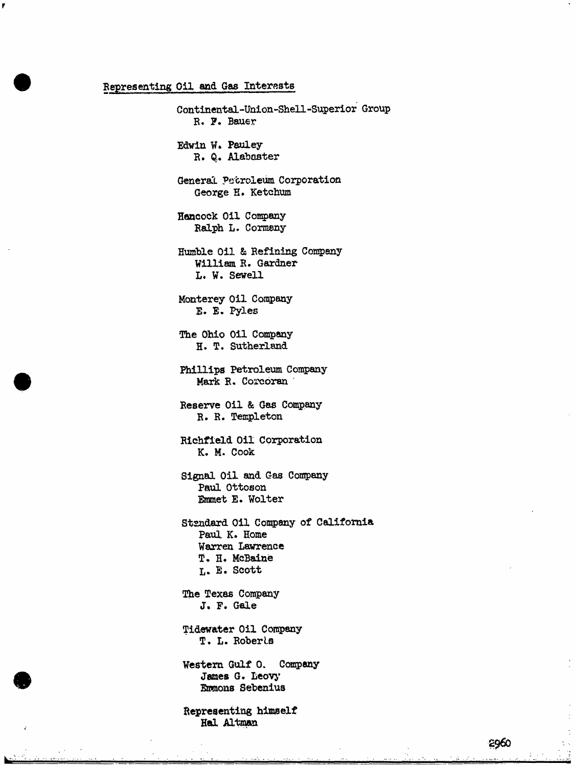## Representing Oil and Gas Interests

Continental-Union-Shell-Superior Group R. F. Bauer Edwin W. Pauley R. Q. Alabaster General Petroleum Corporation George H. Ketchum Hancock Oil Company Ralph L. Cormany Humble Oil & Refining Company William R. Gardner L. W. Sewell Monterey Oil Company E. E. Pyles The Ohio Oil Company H. T. Sutherland Phillips Petroleum Company Mark R. Corcoran Reserve Oil & Gas Company R. R. Templeton Richfield Oil Corporation K. M. Cook Signal Oil and Gas Company Paul Ottoson Emmet E. Wolter Standard Oil Company of California Paul K. Home Warren Lawrence T. H. McBaine L. E. Scott The Texas Company J. F. Gale Tidewater Oil Company T. L. Roberle Western Gulf O. Company James G. Leovy Emmons Sebenius Representing himself Hal Altman